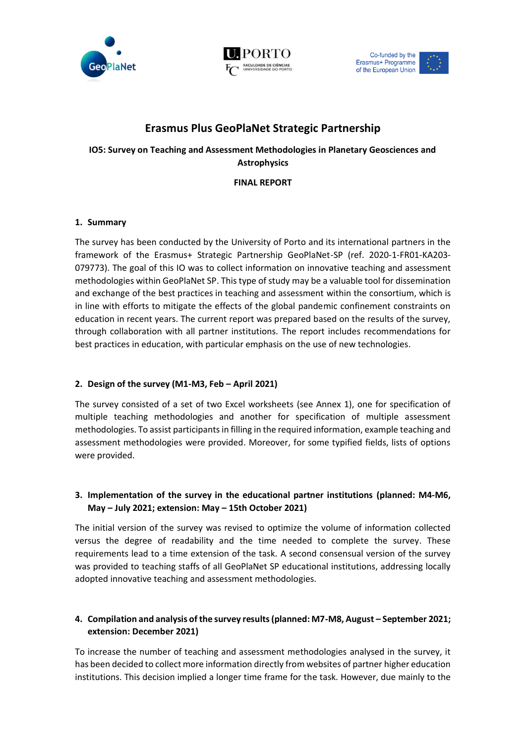





# **Erasmus Plus GeoPlaNet Strategic Partnership**

## **IO5: Survey on Teaching and Assessment Methodologies in Planetary Geosciences and Astrophysics**

**FINAL REPORT**

## **1. Summary**

The survey has been conducted by the University of Porto and its international partners in the framework of the Erasmus+ Strategic Partnership GeoPlaNet-SP (ref. 2020-1-FR01-KA203- 079773). The goal of this IO was to collect information on innovative teaching and assessment methodologies within GeoPlaNet SP. This type of study may be a valuable tool for dissemination and exchange of the best practices in teaching and assessment within the consortium, which is in line with efforts to mitigate the effects of the global pandemic confinement constraints on education in recent years. The current report was prepared based on the results of the survey, through collaboration with all partner institutions. The report includes recommendations for best practices in education, with particular emphasis on the use of new technologies.

## **2. Design of the survey (M1-M3, Feb – April 2021)**

The survey consisted of a set of two Excel worksheets (see Annex 1), one for specification of multiple teaching methodologies and another for specification of multiple assessment methodologies. To assist participants in filling in the required information, example teaching and assessment methodologies were provided. Moreover, for some typified fields, lists of options were provided.

## **3. Implementation of the survey in the educational partner institutions (planned: M4-M6, May – July 2021; extension: May – 15th October 2021)**

The initial version of the survey was revised to optimize the volume of information collected versus the degree of readability and the time needed to complete the survey. These requirements lead to a time extension of the task. A second consensual version of the survey was provided to teaching staffs of all GeoPlaNet SP educational institutions, addressing locally adopted innovative teaching and assessment methodologies.

## **4.** Compilation and analysis of the survey results (planned: M7-M8, August – September 2021; **extension: December 2021)**

To increase the number of teaching and assessment methodologies analysed in the survey, it has been decided to collect more information directly from websites of partner higher education institutions. This decision implied a longer time frame for the task. However, due mainly to the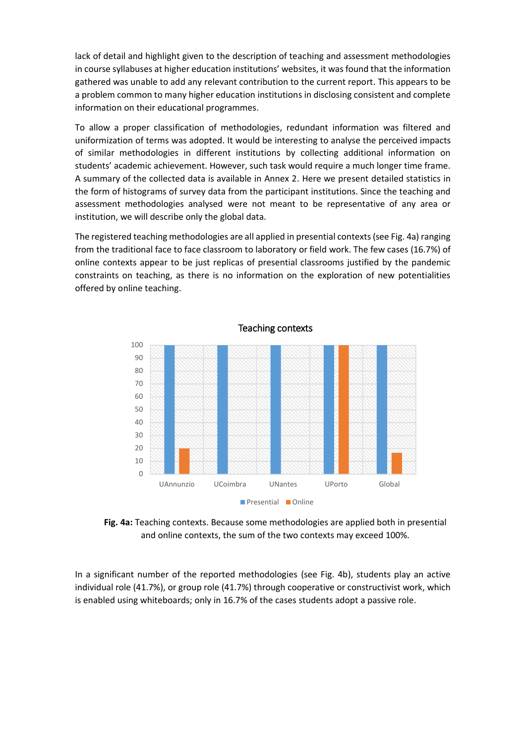lack of detail and highlight given to the description of teaching and assessment methodologies in course syllabuses at higher education institutions' websites, it was found that the information gathered was unable to add any relevant contribution to the current report. This appears to be a problem common to many higher education institutions in disclosing consistent and complete information on their educational programmes.

To allow a proper classification of methodologies, redundant information was filtered and uniformization of terms was adopted. It would be interesting to analyse the perceived impacts of similar methodologies in different institutions by collecting additional information on students' academic achievement. However, such task would require a much longer time frame. A summary of the collected data is available in Annex 2. Here we present detailed statistics in the form of histograms of survey data from the participant institutions. Since the teaching and assessment methodologies analysed were not meant to be representative of any area or institution, we will describe only the global data.

The registered teaching methodologies are all applied in presential contexts(see Fig. 4a) ranging from the traditional face to face classroom to laboratory or field work. The few cases (16.7%) of online contexts appear to be just replicas of presential classrooms justified by the pandemic constraints on teaching, as there is no information on the exploration of new potentialities offered by online teaching.



**Fig. 4a:** Teaching contexts. Because some methodologies are applied both in presential and online contexts, the sum of the two contexts may exceed 100%.

In a significant number of the reported methodologies (see Fig. 4b), students play an active individual role (41.7%), or group role (41.7%) through cooperative or constructivist work, which is enabled using whiteboards; only in 16.7% of the cases students adopt a passive role.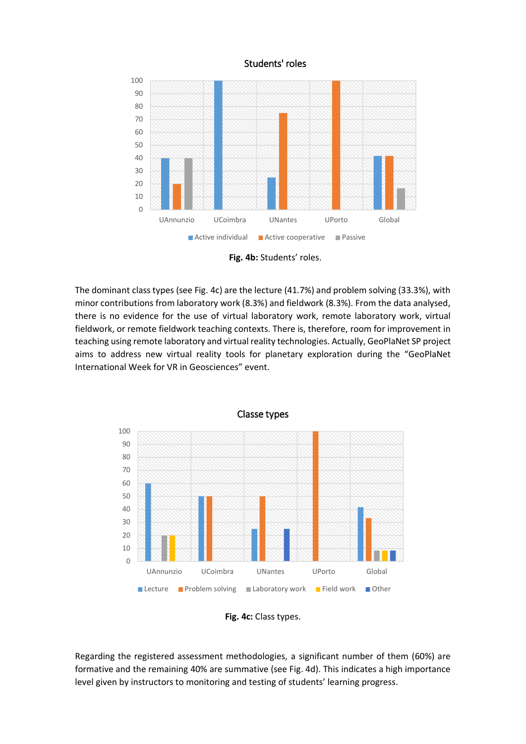### Students' roles



**Fig. 4b:** Students' roles.

The dominant class types (see Fig. 4c) are the lecture (41.7%) and problem solving (33.3%), with minor contributions from laboratory work (8.3%) and fieldwork (8.3%). From the data analysed, there is no evidence for the use of virtual laboratory work, remote laboratory work, virtual fieldwork, or remote fieldwork teaching contexts. There is, therefore, room for improvement in teaching using remote laboratory and virtual reality technologies. Actually, GeoPlaNet SP project aims to address new virtual reality tools for planetary exploration during the "GeoPlaNet International Week for VR in Geosciences" event.





Regarding the registered assessment methodologies, a significant number of them (60%) are formative and the remaining 40% are summative (see Fig. 4d). This indicates a high importance level given by instructors to monitoring and testing of students' learning progress.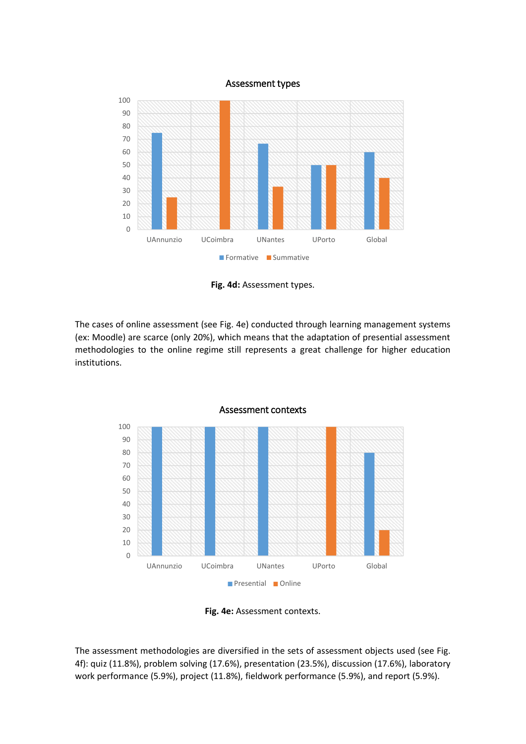#### Assessment types



**Fig. 4d:** Assessment types.

The cases of online assessment (see Fig. 4e) conducted through learning management systems (ex: Moodle) are scarce (only 20%), which means that the adaptation of presential assessment methodologies to the online regime still represents a great challenge for higher education institutions.





The assessment methodologies are diversified in the sets of assessment objects used (see Fig. 4f): quiz (11.8%), problem solving (17.6%), presentation (23.5%), discussion (17.6%), laboratory work performance (5.9%), project (11.8%), fieldwork performance (5.9%), and report (5.9%).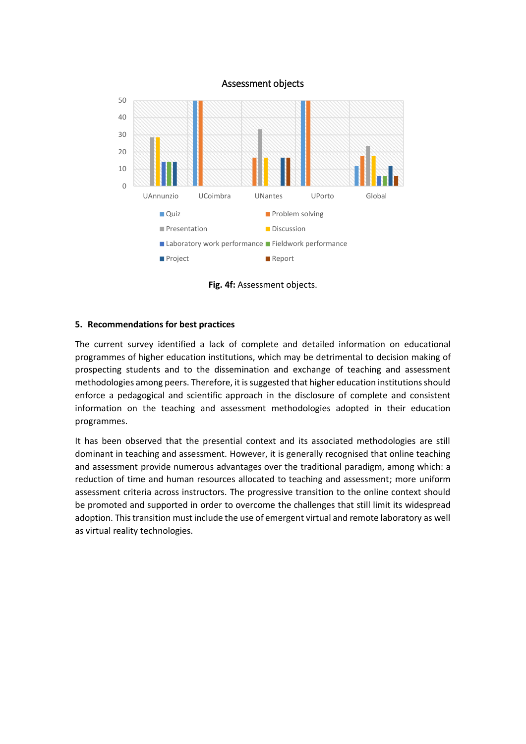

**Fig. 4f:** Assessment objects.

### **5. Recommendations for best practices**

The current survey identified a lack of complete and detailed information on educational programmes of higher education institutions, which may be detrimental to decision making of prospecting students and to the dissemination and exchange of teaching and assessment methodologies among peers. Therefore, it is suggested that higher education institutions should enforce a pedagogical and scientific approach in the disclosure of complete and consistent information on the teaching and assessment methodologies adopted in their education programmes.

It has been observed that the presential context and its associated methodologies are still dominant in teaching and assessment. However, it is generally recognised that online teaching and assessment provide numerous advantages over the traditional paradigm, among which: a reduction of time and human resources allocated to teaching and assessment; more uniform assessment criteria across instructors. The progressive transition to the online context should be promoted and supported in order to overcome the challenges that still limit its widespread adoption. This transition must include the use of emergent virtual and remote laboratory as well as virtual reality technologies.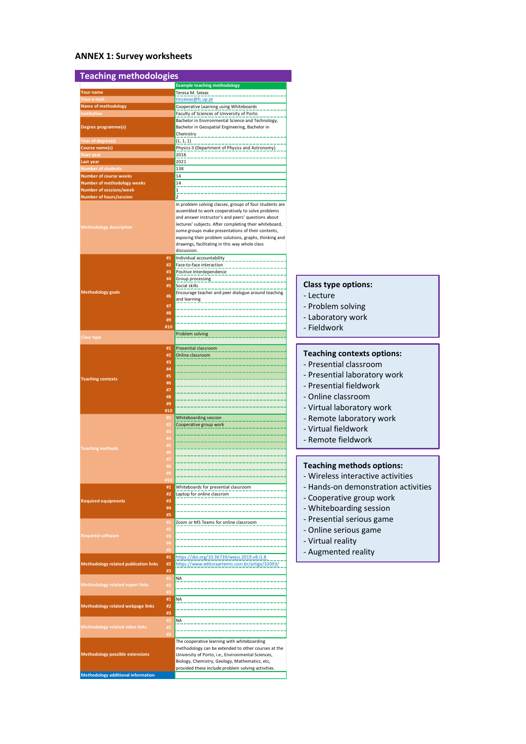## **ANNEX 1: Survey worksheets**

| <b>Teaching methodologies</b>                                |                |                                                                                                                                                                                                                                                                                                                                                                                                              |
|--------------------------------------------------------------|----------------|--------------------------------------------------------------------------------------------------------------------------------------------------------------------------------------------------------------------------------------------------------------------------------------------------------------------------------------------------------------------------------------------------------------|
|                                                              |                | <b>Example teaching methodology</b>                                                                                                                                                                                                                                                                                                                                                                          |
| <b>Your name</b>                                             |                | Teresa M. Seixas<br>tmseixas@fc.up.pt                                                                                                                                                                                                                                                                                                                                                                        |
| our e-mail/<br>Name of methodology                           |                | Cooperative Learning using Whiteboards                                                                                                                                                                                                                                                                                                                                                                       |
| Institution                                                  |                | Faculty of Sciences of University of Porto                                                                                                                                                                                                                                                                                                                                                                   |
| Degree programme(s)                                          |                | Bachelor in Environmental Science and Technology,<br>Bachelor in Geospatial Engineering, Bachelor in                                                                                                                                                                                                                                                                                                         |
|                                                              |                | Chemistry                                                                                                                                                                                                                                                                                                                                                                                                    |
| Year of degree(s)                                            |                | (1, 1, 1)                                                                                                                                                                                                                                                                                                                                                                                                    |
| Course name(s)<br>Start year                                 |                | Physics II (Department of Physics and Astronomy)<br>2016                                                                                                                                                                                                                                                                                                                                                     |
| Last year                                                    |                | 2021                                                                                                                                                                                                                                                                                                                                                                                                         |
| <b>Number of students</b>                                    |                | 138                                                                                                                                                                                                                                                                                                                                                                                                          |
| <b>Number of course weeks</b><br>Number of methodology weeks |                | 14<br>14                                                                                                                                                                                                                                                                                                                                                                                                     |
| <b>Number of sessions/week</b>                               |                |                                                                                                                                                                                                                                                                                                                                                                                                              |
| Number of hours/session                                      |                | $\mathfrak z$                                                                                                                                                                                                                                                                                                                                                                                                |
| <b>Methodology description</b>                               |                | In problem solving classes, groups of four students are<br>assembled to work cooperatively to solve problems<br>and answer instructor's and peers' questions about<br>lectures' subjects. After completing their whiteboard,<br>some groups make presentations of their contents,<br>exposing their problem solutions, graphs, thinking and<br>drawings, facilitating in this way whole class<br>discussion. |
|                                                              | #1<br>#2<br>#3 | Individual accountability<br>Face-to-face interaction<br>Positive Interdependence                                                                                                                                                                                                                                                                                                                            |
|                                                              | #4             | Group processing                                                                                                                                                                                                                                                                                                                                                                                             |
| <b>Methodology goals</b>                                     | #5             | Social skills<br>Encourage teacher and peer dialogue around teaching                                                                                                                                                                                                                                                                                                                                         |
|                                                              | #6             | and learning                                                                                                                                                                                                                                                                                                                                                                                                 |
|                                                              | #7<br>#8       |                                                                                                                                                                                                                                                                                                                                                                                                              |
|                                                              | #9             |                                                                                                                                                                                                                                                                                                                                                                                                              |
|                                                              | #10            |                                                                                                                                                                                                                                                                                                                                                                                                              |
| Class type                                                   |                | Problem solving                                                                                                                                                                                                                                                                                                                                                                                              |
|                                                              | #1             | Presential classroom                                                                                                                                                                                                                                                                                                                                                                                         |
|                                                              | #2             | Online classroom                                                                                                                                                                                                                                                                                                                                                                                             |
|                                                              | #3             |                                                                                                                                                                                                                                                                                                                                                                                                              |
|                                                              | #4<br>#5       |                                                                                                                                                                                                                                                                                                                                                                                                              |
| <b>Teaching contexts</b>                                     | #6             |                                                                                                                                                                                                                                                                                                                                                                                                              |
|                                                              | #7             |                                                                                                                                                                                                                                                                                                                                                                                                              |
|                                                              | #8             |                                                                                                                                                                                                                                                                                                                                                                                                              |
|                                                              | #9<br>#10      |                                                                                                                                                                                                                                                                                                                                                                                                              |
|                                                              | #1             | Whiteboarding session                                                                                                                                                                                                                                                                                                                                                                                        |
|                                                              |                | Cooperative group work                                                                                                                                                                                                                                                                                                                                                                                       |
|                                                              | #3<br>#4       |                                                                                                                                                                                                                                                                                                                                                                                                              |
|                                                              | #5             |                                                                                                                                                                                                                                                                                                                                                                                                              |
| <b>Teaching methods</b>                                      | #6             |                                                                                                                                                                                                                                                                                                                                                                                                              |
|                                                              | #7             |                                                                                                                                                                                                                                                                                                                                                                                                              |
|                                                              | #9             |                                                                                                                                                                                                                                                                                                                                                                                                              |
|                                                              |                |                                                                                                                                                                                                                                                                                                                                                                                                              |
|                                                              | #1             | Whiteboards for presential classroom                                                                                                                                                                                                                                                                                                                                                                         |
| <b>Required equipments</b>                                   | #2<br>#3       | Laptop for online classrom                                                                                                                                                                                                                                                                                                                                                                                   |
|                                                              | #4             |                                                                                                                                                                                                                                                                                                                                                                                                              |
|                                                              | #5             |                                                                                                                                                                                                                                                                                                                                                                                                              |
|                                                              | #1             | Zoom or MS Teams for online classroom                                                                                                                                                                                                                                                                                                                                                                        |
| Required software                                            | #2             |                                                                                                                                                                                                                                                                                                                                                                                                              |
|                                                              | #3<br>#4       |                                                                                                                                                                                                                                                                                                                                                                                                              |
|                                                              |                |                                                                                                                                                                                                                                                                                                                                                                                                              |
|                                                              | #1             | https://doi.org/10.36739/wejss.2019.v8.i1.8                                                                                                                                                                                                                                                                                                                                                                  |
| <b>Methodology related publication links</b>                 | #2             | https://www.editoraartemis.com.br/artigo/32093/                                                                                                                                                                                                                                                                                                                                                              |
|                                                              | #3<br>#1       | <b>NA</b>                                                                                                                                                                                                                                                                                                                                                                                                    |
| <b>Methodology related report links</b>                      | #2             |                                                                                                                                                                                                                                                                                                                                                                                                              |
|                                                              | #3             |                                                                                                                                                                                                                                                                                                                                                                                                              |
|                                                              | #1             | <b>NA</b>                                                                                                                                                                                                                                                                                                                                                                                                    |
| Methodology related webpage links                            | #2             |                                                                                                                                                                                                                                                                                                                                                                                                              |
|                                                              | #3<br>#1       | <b>NA</b>                                                                                                                                                                                                                                                                                                                                                                                                    |
| Methodology related video links                              | #2             |                                                                                                                                                                                                                                                                                                                                                                                                              |
|                                                              |                |                                                                                                                                                                                                                                                                                                                                                                                                              |
|                                                              |                | The cooperative learning with whiteboarding<br>methodology can be extended to other courses at the                                                                                                                                                                                                                                                                                                           |
| <b>Methodology possible extensions</b>                       |                | University of Porto, i.e., Environmental Sciences,                                                                                                                                                                                                                                                                                                                                                           |
|                                                              |                | Biology, Chemistry, Geology, Mathematics, etc,                                                                                                                                                                                                                                                                                                                                                               |
|                                                              |                | provided these include problem solving activities.                                                                                                                                                                                                                                                                                                                                                           |
| <b>Methodology additional information</b>                    |                |                                                                                                                                                                                                                                                                                                                                                                                                              |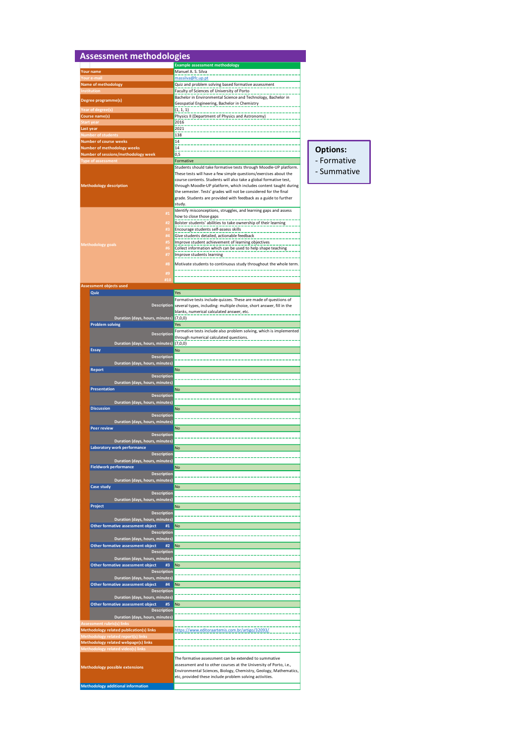| <b>Assessment methodologies</b>                                                      | <b>Example assessment methodology</b>                                                                                                               |
|--------------------------------------------------------------------------------------|-----------------------------------------------------------------------------------------------------------------------------------------------------|
| Your name                                                                            | Manuel A. S. Silva                                                                                                                                  |
| our e-mail                                                                           | massilva@fc.up.pt                                                                                                                                   |
| Name of methodology                                                                  | Quiz and problem solving based formative assessment                                                                                                 |
| <b>Institution</b>                                                                   | Faculty of Sciences of University of Porto                                                                                                          |
| Degree programme(s)                                                                  | Bachelor in Environmental Science and Technology, Bachelor in<br>Geospatial Engineering, Bachelor in Chemistry                                      |
| (ear of degree(s)                                                                    | (1, 1, 1)                                                                                                                                           |
| Course name(s)                                                                       | Physics II (Department of Physics and Astronomy)                                                                                                    |
| Start vear                                                                           | 2016                                                                                                                                                |
| Last year                                                                            | 2021                                                                                                                                                |
| <b>Number of students</b>                                                            | 138<br>14                                                                                                                                           |
| <b>Number of course weeks</b><br><b>Number of methodology weeks</b>                  | 14                                                                                                                                                  |
| Number of sessions/methodology week                                                  | 0,5                                                                                                                                                 |
| <b>Type of assessment</b>                                                            | Formative                                                                                                                                           |
|                                                                                      | Students should take formative tests through Moodle-UP platform.                                                                                    |
|                                                                                      | These tests will have a few simple questions/exercises about the                                                                                    |
| <b>Methodology description</b>                                                       | course contents. Students will also take a global formative test,<br>through Moodle-UP platform, which includes content taught during               |
|                                                                                      | the semester. Tests' grades will not be considered for the final                                                                                    |
|                                                                                      | grade. Students are provided with feedback as a guide to further                                                                                    |
|                                                                                      | study.                                                                                                                                              |
| #1                                                                                   | Identify misconceptions, struggles, and learning gaps and assess<br>how to close those gaps                                                         |
| #2                                                                                   | Bolster students' abilities to take ownership of their learning                                                                                     |
|                                                                                      | Encourage students self-assess skills                                                                                                               |
| #4                                                                                   | Give students detailed, actionable feedback                                                                                                         |
| #5<br>Methodology goals                                                              | Improve student achievement of learning objectives                                                                                                  |
|                                                                                      | Collect information which can be used to help shape teaching                                                                                        |
| #7                                                                                   | Improve students learning                                                                                                                           |
| #8                                                                                   | Motivate students to continuous study throughout the whole term.                                                                                    |
| #9                                                                                   |                                                                                                                                                     |
| <b>H10</b>                                                                           |                                                                                                                                                     |
| Assessment objects used                                                              |                                                                                                                                                     |
| Quiz                                                                                 | Yes                                                                                                                                                 |
|                                                                                      | Formative tests include quizzes. These are made of questions of<br>Description several types, including: multiple choice, short answer, fill in the |
|                                                                                      | blanks, numerical calculated answer, etc.                                                                                                           |
| Duration (days, hours, minutes) (7,0,0)                                              |                                                                                                                                                     |
| <b>Problem solving</b>                                                               | Yes                                                                                                                                                 |
| <b>Description</b>                                                                   | Formative tests include also problem solving, which is implemented                                                                                  |
| Duration (days, hours, minutes)                                                      | through numerical calculated questions.<br>(7,0,0)                                                                                                  |
| <b>Essay</b>                                                                         | <b>No</b>                                                                                                                                           |
| <b>Description</b>                                                                   |                                                                                                                                                     |
| Duration (days, hours, minutes)                                                      |                                                                                                                                                     |
| Report                                                                               | No                                                                                                                                                  |
| <b>Description</b>                                                                   |                                                                                                                                                     |
| Duration (days, hours, minutes)<br><b>Presentation</b>                               | No                                                                                                                                                  |
| <b>Description</b>                                                                   |                                                                                                                                                     |
| Duration (days, hours, minutes)                                                      |                                                                                                                                                     |
| <b>Discussion</b>                                                                    | <b>No</b>                                                                                                                                           |
| <b>Description</b>                                                                   |                                                                                                                                                     |
| Duration (days, hours, minutes)                                                      |                                                                                                                                                     |
| Peer review<br><b>Description</b>                                                    | <b>No</b>                                                                                                                                           |
| Duration (days, hours, minutes)                                                      |                                                                                                                                                     |
| Laboratory work performance                                                          | <b>No</b>                                                                                                                                           |
| <b>Description</b>                                                                   |                                                                                                                                                     |
| Duration (days, hours, minutes)                                                      |                                                                                                                                                     |
| <b>Fieldwork performance</b>                                                         | No                                                                                                                                                  |
| <b>Description</b>                                                                   |                                                                                                                                                     |
| Duration (days, hours, minutes)<br><b>Case study</b>                                 | <b>No</b>                                                                                                                                           |
| <b>Description</b>                                                                   |                                                                                                                                                     |
| Duration (days, hours, minutes)                                                      |                                                                                                                                                     |
| Project                                                                              | <b>No</b>                                                                                                                                           |
| <b>Description</b>                                                                   |                                                                                                                                                     |
| Duration (days, hours, minutes)                                                      |                                                                                                                                                     |
| Other formative assessment object<br>#1<br><b>Description</b>                        | <b>No</b>                                                                                                                                           |
| Duration (days, hours, minutes)                                                      |                                                                                                                                                     |
| Other formative assessment object<br>#2                                              | No                                                                                                                                                  |
| <b>Description</b>                                                                   |                                                                                                                                                     |
| Duration (days, hours, minutes)                                                      |                                                                                                                                                     |
| Other formative assessment object<br>#3                                              | <b>No</b>                                                                                                                                           |
| <b>Description</b><br>Duration (days, hours, minutes)                                |                                                                                                                                                     |
| Other formative assessment object<br>#4                                              | <b>No</b>                                                                                                                                           |
| <b>Description</b>                                                                   |                                                                                                                                                     |
| Duration (days, hours, minutes)                                                      |                                                                                                                                                     |
| Other formative assessment object<br>#5                                              | <b>No</b>                                                                                                                                           |
| <b>Description</b>                                                                   |                                                                                                                                                     |
| Duration (days, hours, minutes)                                                      |                                                                                                                                                     |
| <b>Assessment rubric(s) link:</b><br><b>Methodology related publication(s) links</b> | https://www.editoraartemis.com.br/artigo/32093/                                                                                                     |
| <b>Methodology related report(s) link:</b>                                           |                                                                                                                                                     |
| Methodology related webpage(s) links                                                 |                                                                                                                                                     |
|                                                                                      |                                                                                                                                                     |
| Methodology related video(s) links                                                   |                                                                                                                                                     |
|                                                                                      | The formative assessment can be extended to summative                                                                                               |
|                                                                                      | assessment and to other courses at the University of Porto, i.e.,                                                                                   |
| <b>Methodology possible extensions</b>                                               | Environmental Sciences, Biology, Chemistry, Geology, Mathematics,<br>etc, provided these include problem solving activities.                        |

```
Options:
- Formative
- Summative
```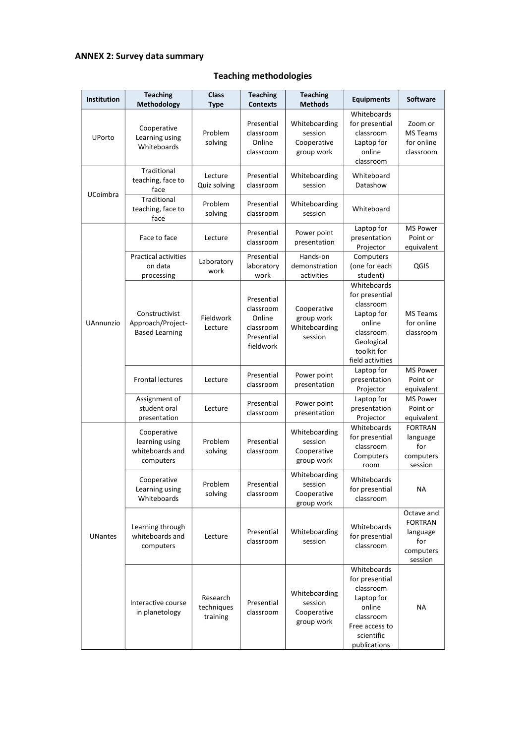## **ANNEX 2: Survey data summary**

# **Teaching methodologies**

| Institution     | <b>Teaching</b><br>Methodology                                | <b>Class</b><br><b>Type</b>        | <b>Teaching</b><br><b>Contexts</b>                                        | <b>Teaching</b><br><b>Methods</b>                     | <b>Equipments</b>                                                                                                                | <b>Software</b>                                                         |
|-----------------|---------------------------------------------------------------|------------------------------------|---------------------------------------------------------------------------|-------------------------------------------------------|----------------------------------------------------------------------------------------------------------------------------------|-------------------------------------------------------------------------|
| UPorto          | Cooperative<br>Learning using<br>Whiteboards                  | Problem<br>solving                 | Presential<br>classroom<br>Online<br>classroom                            | Whiteboarding<br>session<br>Cooperative<br>group work | Whiteboards<br>for presential<br>classroom<br>Laptop for<br>online<br>classroom                                                  | Zoom or<br><b>MS Teams</b><br>for online<br>classroom                   |
| <b>UCoimbra</b> | Traditional<br>teaching, face to<br>face                      | Lecture<br>Quiz solving            | Presential<br>classroom                                                   | Whiteboarding<br>session                              | Whiteboard<br>Datashow                                                                                                           |                                                                         |
|                 | Traditional<br>teaching, face to<br>face                      | Problem<br>solving                 | Presential<br>classroom                                                   | Whiteboarding<br>session                              | Whiteboard                                                                                                                       |                                                                         |
| UAnnunzio       | Face to face                                                  | Lecture                            | Presential<br>classroom                                                   | Power point<br>presentation                           | Laptop for<br>presentation<br>Projector                                                                                          | <b>MS Power</b><br>Point or<br>equivalent                               |
|                 | <b>Practical activities</b><br>on data<br>processing          | Laboratory<br>work                 | Presential<br>laboratory<br>work                                          | Hands-on<br>demonstration<br>activities               | Computers<br>(one for each<br>student)                                                                                           | <b>QGIS</b>                                                             |
|                 | Constructivist<br>Approach/Project-<br><b>Based Learning</b>  | Fieldwork<br>Lecture               | Presential<br>classroom<br>Online<br>classroom<br>Presential<br>fieldwork | Cooperative<br>group work<br>Whiteboarding<br>session | Whiteboards<br>for presential<br>classroom<br>Laptop for<br>online<br>classroom<br>Geological<br>toolkit for<br>field activities | <b>MS Teams</b><br>for online<br>classroom                              |
|                 | <b>Frontal lectures</b>                                       | Lecture                            | Presential<br>classroom                                                   | Power point<br>presentation                           | Laptop for<br>presentation<br>Projector                                                                                          | <b>MS Power</b><br>Point or<br>equivalent                               |
|                 | Assignment of<br>student oral<br>presentation                 | Lecture                            | Presential<br>classroom                                                   | Power point<br>presentation                           | Laptop for<br>presentation<br>Projector                                                                                          | <b>MS Power</b><br>Point or<br>equivalent                               |
| <b>UNantes</b>  | Cooperative<br>learning using<br>whiteboards and<br>computers | Problem<br>solving                 | Presential<br>classroom                                                   | Whiteboarding<br>session<br>Cooperative<br>group work | Whiteboards<br>for presential<br>classroom<br>Computers<br>room                                                                  | <b>FORTRAN</b><br>language<br>for<br>computers<br>session               |
|                 | Cooperative<br>Learning using<br>Whiteboards                  | Problem<br>solving                 | Presential<br>classroom                                                   | Whiteboarding<br>session<br>Cooperative<br>group work | Whiteboards<br>for presential<br>classroom                                                                                       | NА                                                                      |
|                 | Learning through<br>whiteboards and<br>computers              | Lecture                            | Presential<br>classroom                                                   | Whiteboarding<br>session                              | Whiteboards<br>for presential<br>classroom                                                                                       | Octave and<br><b>FORTRAN</b><br>language<br>for<br>computers<br>session |
|                 | Interactive course<br>in planetology                          | Research<br>techniques<br>training | Presential<br>classroom                                                   | Whiteboarding<br>session<br>Cooperative<br>group work | Whiteboards<br>for presential<br>classroom<br>Laptop for<br>online<br>classroom<br>Free access to<br>scientific<br>publications  | <b>NA</b>                                                               |